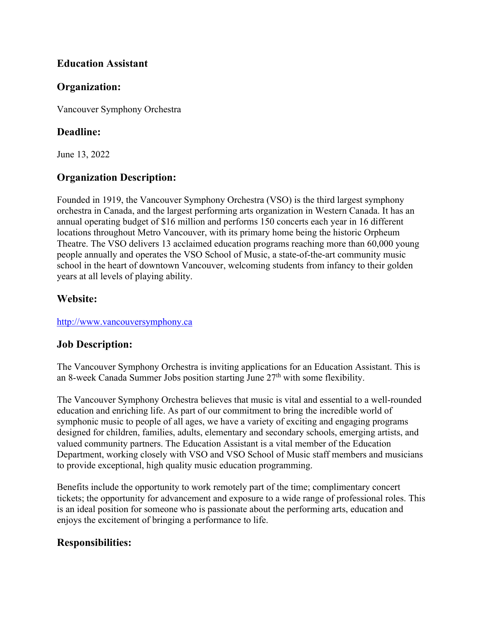#### **Education Assistant**

#### **Organization:**

Vancouver Symphony Orchestra

#### **Deadline:**

June 13, 2022

## **Organization Description:**

Founded in 1919, the Vancouver Symphony Orchestra (VSO) is the third largest symphony orchestra in Canada, and the largest performing arts organization in Western Canada. It has an annual operating budget of \$16 million and performs 150 concerts each year in 16 different locations throughout Metro Vancouver, with its primary home being the historic Orpheum Theatre. The VSO delivers 13 acclaimed education programs reaching more than 60,000 young people annually and operates the VSO School of Music, a state-of-the-art community music school in the heart of downtown Vancouver, welcoming students from infancy to their golden years at all levels of playing ability.

## **Website:**

[http://www.vancouversymphony.ca](http://www.vancouversymphony.ca/)

## **Job Description:**

The Vancouver Symphony Orchestra is inviting applications for an Education Assistant. This is an 8-week Canada Summer Jobs position starting June  $27<sup>th</sup>$  with some flexibility.

The Vancouver Symphony Orchestra believes that music is vital and essential to a well-rounded education and enriching life. As part of our commitment to bring the incredible world of symphonic music to people of all ages, we have a variety of exciting and engaging programs designed for children, families, adults, elementary and secondary schools, emerging artists, and valued community partners. The Education Assistant is a vital member of the Education Department, working closely with VSO and VSO School of Music staff members and musicians to provide exceptional, high quality music education programming.

Benefits include the opportunity to work remotely part of the time; complimentary concert tickets; the opportunity for advancement and exposure to a wide range of professional roles. This is an ideal position for someone who is passionate about the performing arts, education and enjoys the excitement of bringing a performance to life.

## **Responsibilities:**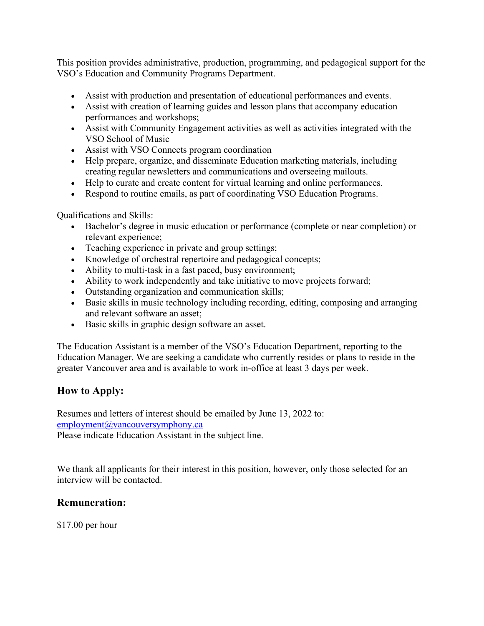This position provides administrative, production, programming, and pedagogical support for the VSO's Education and Community Programs Department.

- Assist with production and presentation of educational performances and events.
- Assist with creation of learning guides and lesson plans that accompany education performances and workshops;
- Assist with Community Engagement activities as well as activities integrated with the VSO School of Music
- Assist with VSO Connects program coordination
- Help prepare, organize, and disseminate Education marketing materials, including creating regular newsletters and communications and overseeing mailouts.
- Help to curate and create content for virtual learning and online performances.
- Respond to routine emails, as part of coordinating VSO Education Programs.

Qualifications and Skills:

- Bachelor's degree in music education or performance (complete or near completion) or relevant experience;
- Teaching experience in private and group settings;
- Knowledge of orchestral repertoire and pedagogical concepts;
- Ability to multi-task in a fast paced, busy environment;
- Ability to work independently and take initiative to move projects forward;
- Outstanding organization and communication skills;
- Basic skills in music technology including recording, editing, composing and arranging and relevant software an asset;
- Basic skills in graphic design software an asset.

The Education Assistant is a member of the VSO's Education Department, reporting to the Education Manager. We are seeking a candidate who currently resides or plans to reside in the greater Vancouver area and is available to work in-office at least 3 days per week.

# **How to Apply:**

Resumes and letters of interest should be emailed by June 13, 2022 to: [employment@vancouversymphony.ca](mailto:employment@vancouversymphony.ca)

Please indicate Education Assistant in the subject line.

We thank all applicants for their interest in this position, however, only those selected for an interview will be contacted.

## **Remuneration:**

\$17.00 per hour